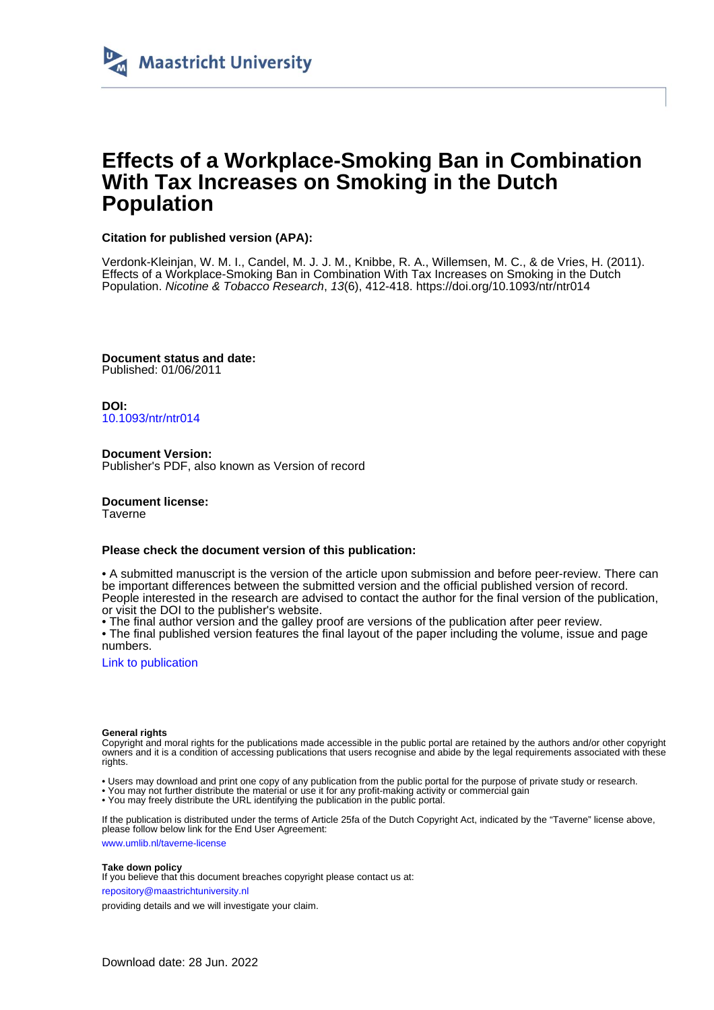

# **Effects of a Workplace-Smoking Ban in Combination With Tax Increases on Smoking in the Dutch Population**

#### **Citation for published version (APA):**

Verdonk-Kleinjan, W. M. I., Candel, M. J. J. M., Knibbe, R. A., Willemsen, M. C., & de Vries, H. (2011). Effects of a Workplace-Smoking Ban in Combination With Tax Increases on Smoking in the Dutch Population. Nicotine & Tobacco Research, 13(6), 412-418. <https://doi.org/10.1093/ntr/ntr014>

**Document status and date:** Published: 01/06/2011

**DOI:** [10.1093/ntr/ntr014](https://doi.org/10.1093/ntr/ntr014)

**Document Version:** Publisher's PDF, also known as Version of record

**Document license:** Taverne

#### **Please check the document version of this publication:**

• A submitted manuscript is the version of the article upon submission and before peer-review. There can be important differences between the submitted version and the official published version of record. People interested in the research are advised to contact the author for the final version of the publication, or visit the DOI to the publisher's website.

• The final author version and the galley proof are versions of the publication after peer review.

• The final published version features the final layout of the paper including the volume, issue and page numbers.

[Link to publication](https://cris.maastrichtuniversity.nl/en/publications/6db35994-4c27-4640-8f6c-25310db7dcbc)

#### **General rights**

Copyright and moral rights for the publications made accessible in the public portal are retained by the authors and/or other copyright owners and it is a condition of accessing publications that users recognise and abide by the legal requirements associated with these rights.

• Users may download and print one copy of any publication from the public portal for the purpose of private study or research.

• You may not further distribute the material or use it for any profit-making activity or commercial gain

• You may freely distribute the URL identifying the publication in the public portal.

If the publication is distributed under the terms of Article 25fa of the Dutch Copyright Act, indicated by the "Taverne" license above, please follow below link for the End User Agreement:

www.umlib.nl/taverne-license

#### **Take down policy**

If you believe that this document breaches copyright please contact us at:

repository@maastrichtuniversity.nl

providing details and we will investigate your claim.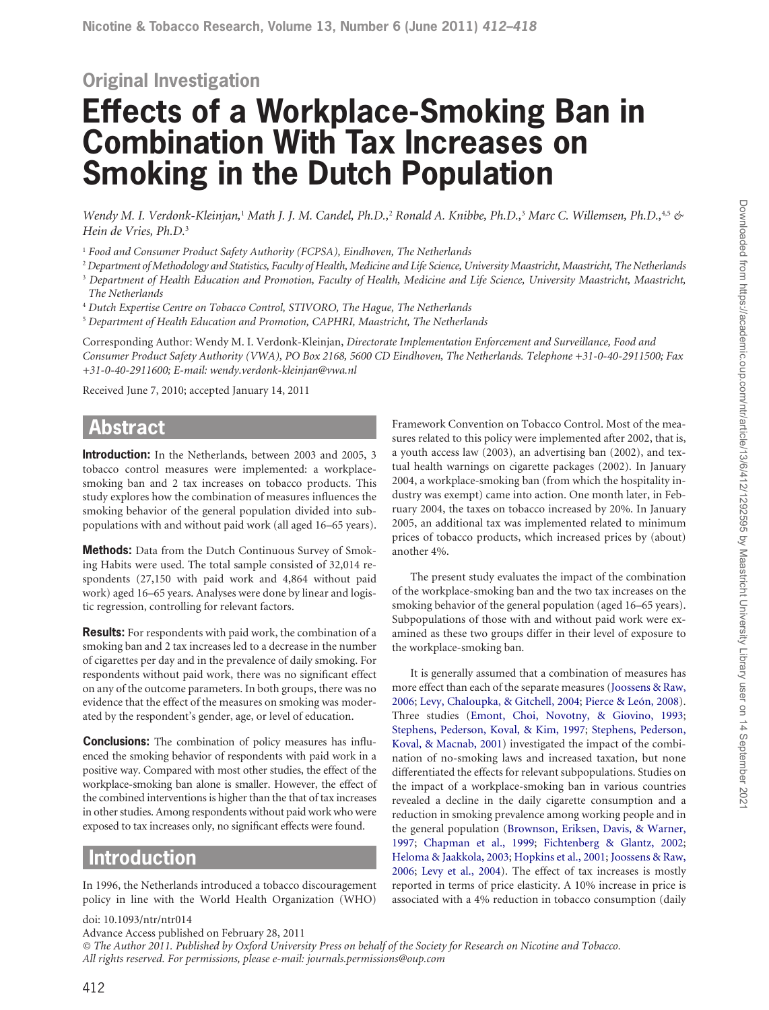# **Original Investigation Effects of a Workplace-Smoking Ban in Combination With Tax Increases on Smoking in the Dutch Population**

*Wendy M. I. Verdonk-Kleinjan,<sup>1</sup> Math J. J. M. Candel, Ph.D.,<sup>2</sup> Ronald A. Knibbe, Ph.D.,<sup>3</sup> Marc C. Willemsen, Ph.D.,<sup>4,5</sup> & Hein de Vries, Ph.D.*<sup>3</sup>

<sup>1</sup> Food and Consumer Product Safety Authority (FCPSA), Eindhoven, The Netherlands

- 2  *Department of Methodology and Statistics, Faculty of Health, Medicine and Life Science, University Maastricht, Maastricht, The Netherlands* <sup>3</sup> Department of Health Education and Promotion, Faculty of Health, Medicine and Life Science, University Maastricht, Maastricht, *The Netherlands*
- <sup>4</sup> Dutch Expertise Centre on Tobacco Control, STIVORO, The Hague, The Netherlands

5  *Department of Health Education and Promotion, CAPHRI, Maastricht, The Netherlands*

Corresponding Author: Wendy M. I. Verdonk-Kleinjan, *Directorate Implementation Enforcement and Surveillance, Food and Consumer Product Safety Authority (VWA), PO Box 2168, 5600 CD Eindhoven, The Netherlands. Telephone +31-0-40-2911500; Fax +31-0-40-2911600; E-mail: wendy.verdonk-kleinjan@vwa.nl*

Received June 7, 2010; accepted January 14, 2011

# **Abstract**

**Introduction:** In the Netherlands, between 2003 and 2005, 3 tobacco control measures were implemented: a workplacesmoking ban and 2 tax increases on tobacco products. This study explores how the combination of measures influences the smoking behavior of the general population divided into subpopulations with and without paid work (all aged 16–65 years).

**Methods:** Data from the Dutch Continuous Survey of Smoking Habits were used. The total sample consisted of 32,014 respondents (27,150 with paid work and 4,864 without paid work) aged 16–65 years. Analyses were done by linear and logistic regression, controlling for relevant factors.

**Results:** For respondents with paid work, the combination of a smoking ban and 2 tax increases led to a decrease in the number of cigarettes per day and in the prevalence of daily smoking. For respondents without paid work, there was no significant effect on any of the outcome parameters. In both groups, there was no evidence that the effect of the measures on smoking was moderated by the respondent's gender, age, or level of education.

**Conclusions:** The combination of policy measures has influenced the smoking behavior of respondents with paid work in a positive way. Compared with most other studies, the effect of the workplace-smoking ban alone is smaller. However, the effect of the combined interventions is higher than the that of tax increases in other studies. Among respondents without paid work who were exposed to tax increases only, no significant effects were found.

# **Introduction**

doi: 10.1093/ntr/ntr014

In 1996, the Netherlands introduced a tobacco discouragement policy in line with the World Health Organization (WHO)

Framework Convention on Tobacco Control. Most of the measures related to this policy were implemented after 2002, that is, a youth access law (2003), an advertising ban (2002), and textual health warnings on cigarette packages (2002). In January 2004, a workplace-smoking ban (from which the hospitality industry was exempt) came into action. One month later, in February 2004, the taxes on tobacco increased by 20%. In January 2005, an additional tax was implemented related to minimum prices of tobacco products, which increased prices by (about) another 4%.

The present study evaluates the impact of the combination of the workplace-smoking ban and the two tax increases on the smoking behavior of the general population (aged 16–65 years). Subpopulations of those with and without paid work were examined as these two groups differ in their level of exposure to the workplace-smoking ban.

It is generally assumed that a combination of measures has more effect than each of the separate measures [\(Joossens & Raw,](#page-7-0) [2006;](#page-7-0) [Levy, Chaloupka, & Gitchell, 2004;](#page-7-1) [Pierce & León, 2008\)](#page-7-2). Three studies ([Emont, Choi, Novotny, & Giovino, 1993](#page-7-3); [Stephens, Pederson, Koval, & Kim, 1997](#page-7-4); [Stephens, Pederson,](#page-7-5) [Koval, & Macnab, 2001](#page-7-5)) investigated the impact of the combination of no-smoking laws and increased taxation, but none differentiated the effects for relevant subpopulations. Studies on the impact of a workplace-smoking ban in various countries revealed a decline in the daily cigarette consumption and a reduction in smoking prevalence among working people and in the general population ([Brownson, Eriksen, Davis, & Warner,](#page-7-6) [1997;](#page-7-6) [Chapman et al., 1999;](#page-7-7) [Fichtenberg & Glantz, 2002](#page-7-8); [Heloma & Jaakkola, 2003](#page-7-9); [Hopkins et al., 2001](#page-7-10); [Joossens & Raw,](#page-7-0) [2006;](#page-7-0) [Levy et al., 2004\)](#page-7-1). The effect of tax increases is mostly reported in terms of price elasticity. A 10% increase in price is associated with a 4% reduction in tobacco consumption (daily

Advance Access published on February 28, 2011 *© The Author 2011. Published by Oxford University Press on behalf of the Society for Research on Nicotine and Tobacco. All rights reserved. For permissions, please e-mail: journals.permissions@oup.com*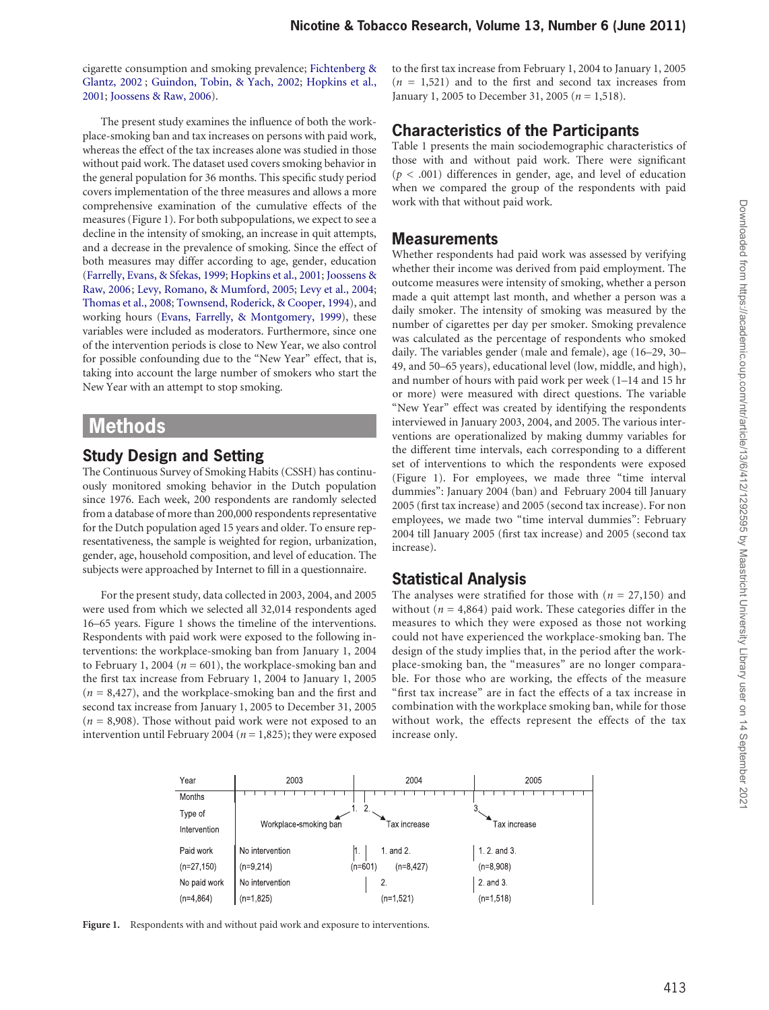cigarette consumption and smoking prevalence; [Fichtenberg &](#page-7-8)  [Glantz, 2002](#page-7-8) ; [Guindon, Tobin, & Yach, 2002](#page-7-11); [Hopkins et al.,](#page-7-10)  [2001](#page-7-10); [Joossens & Raw, 2006\)](#page-7-0).

The present study examines the influence of both the workplace-smoking ban and tax increases on persons with paid work, whereas the effect of the tax increases alone was studied in those without paid work. The dataset used covers smoking behavior in the general population for 36 months. This specific study period covers implementation of the three measures and allows a more comprehensive examination of the cumulative effects of the measures (Figure 1). For both subpopulations, we expect to see a decline in the intensity of smoking, an increase in quit attempts, and a decrease in the prevalence of smoking. Since the effect of both measures may differ according to age, gender, education [\(Farrelly, Evans, & Sfekas, 1999;](#page-7-12) [Hopkins et al., 2001;](#page-7-10) [Joossens &](#page-7-0)  [Raw, 2006](#page-7-0); [Levy, Romano, & Mumford, 2005;](#page-7-13) [Levy et al., 2004](#page-7-1); [Thomas et al., 2008;](#page-7-14) [Townsend, Roderick, & Cooper, 1994\)](#page-7-15), and working hours ([Evans, Farrelly, & Montgomery, 1999](#page-7-16)), these variables were included as moderators. Furthermore, since one of the intervention periods is close to New Year, we also control for possible confounding due to the "New Year" effect, that is, taking into account the large number of smokers who start the New Year with an attempt to stop smoking.

# **Methods**

# **Study Design and Setting**

The Continuous Survey of Smoking Habits (CSSH) has continuously monitored smoking behavior in the Dutch population since 1976. Each week, 200 respondents are randomly selected from a database of more than 200,000 respondents representative for the Dutch population aged 15 years and older. To ensure representativeness, the sample is weighted for region, urbanization, gender, age, household composition, and level of education. The subjects were approached by Internet to fill in a questionnaire.

For the present study, data collected in 2003, 2004, and 2005 were used from which we selected all 32,014 respondents aged 16–65 years. Figure 1 shows the timeline of the interventions. Respondents with paid work were exposed to the following interventions: the workplace-smoking ban from January 1, 2004 to February 1, 2004 ( $n = 601$ ), the workplace-smoking ban and the first tax increase from February 1, 2004 to January 1, 2005 (*n* = 8,427), and the workplace-smoking ban and the first and second tax increase from January 1, 2005 to December 31, 2005 (*n* = 8,908). Those without paid work were not exposed to an intervention until February 2004 (*n* = 1,825); they were exposed to the first tax increase from February 1, 2004 to January 1, 2005  $(n = 1,521)$  and to the first and second tax increases from January 1, 2005 to December 31, 2005 (*n* = 1,518).

## **Characteristics of the Participants**

Table 1 presents the main sociodemographic characteristics of those with and without paid work. There were significant  $(p < .001)$  differences in gender, age, and level of education when we compared the group of the respondents with paid work with that without paid work.

#### **Measurements**

Whether respondents had paid work was assessed by verifying whether their income was derived from paid employment. The outcome measures were intensity of smoking, whether a person made a quit attempt last month, and whether a person was a daily smoker. The intensity of smoking was measured by the number of cigarettes per day per smoker. Smoking prevalence was calculated as the percentage of respondents who smoked daily. The variables gender (male and female), age (16–29, 30– 49, and 50–65 years), educational level (low, middle, and high), and number of hours with paid work per week (1–14 and 15 hr or more) were measured with direct questions. The variable "New Year" effect was created by identifying the respondents interviewed in January 2003, 2004, and 2005. The various interventions are operationalized by making dummy variables for the different time intervals, each corresponding to a different set of interventions to which the respondents were exposed (Figure 1). For employees, we made three "time interval dummies": January 2004 (ban) and February 2004 till January 2005 (first tax increase) and 2005 (second tax increase). For non employees, we made two "time interval dummies": February 2004 till January 2005 (first tax increase) and 2005 (second tax increase).

## **Statistical Analysis**

The analyses were stratified for those with (*n* = 27,150) and without ( $n = 4,864$ ) paid work. These categories differ in the measures to which they were exposed as those not working could not have experienced the workplace-smoking ban. The design of the study implies that, in the period after the workplace-smoking ban, the "measures" are no longer comparable. For those who are working, the effects of the measure "first tax increase" are in fact the effects of a tax increase in combination with the workplace smoking ban, while for those without work, the effects represent the effects of the tax increase only.



Figure 1. Respondents with and without paid work and exposure to interventions.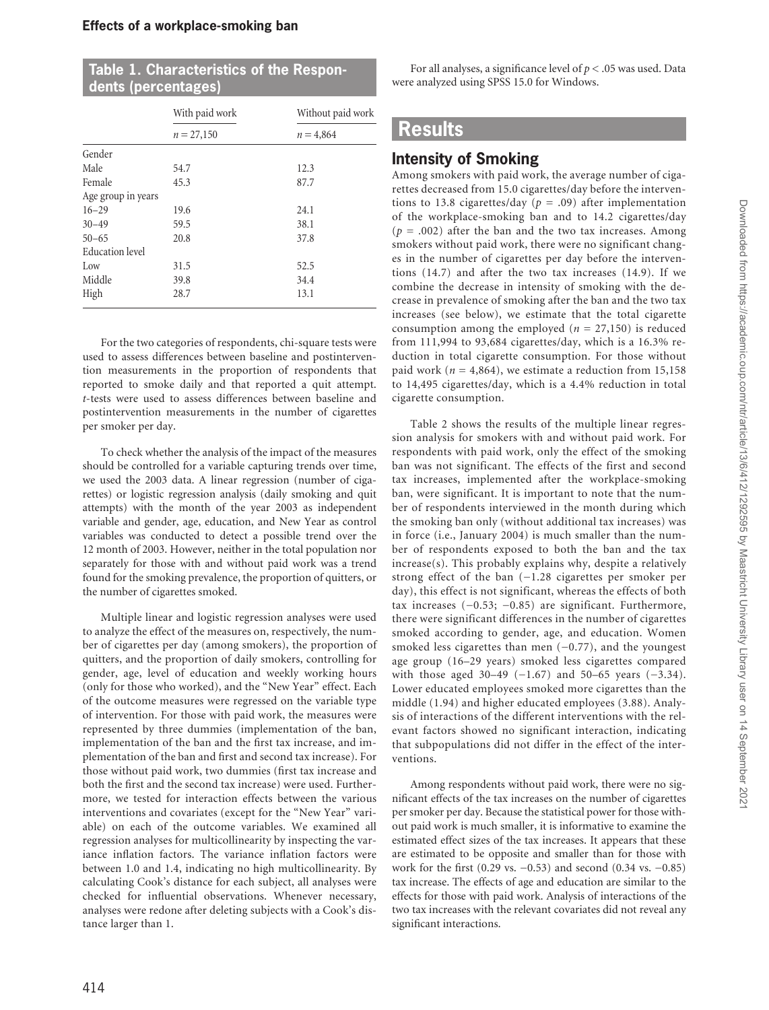| Table 1. Characteristics of the Respon- |  |
|-----------------------------------------|--|
| dents (percentages)                     |  |

|                        | With paid work | Without paid work |  |  |
|------------------------|----------------|-------------------|--|--|
|                        | $n = 27,150$   | $n = 4,864$       |  |  |
| Gender                 |                |                   |  |  |
| Male                   | 54.7           | 12.3              |  |  |
| Female                 | 45.3           | 87.7              |  |  |
| Age group in years     |                |                   |  |  |
| $16 - 29$              | 19.6           | 24.1              |  |  |
| $30 - 49$              | 59.5           | 38.1              |  |  |
| $50 - 65$              | 20.8           | 37.8              |  |  |
| <b>Education</b> level |                |                   |  |  |
| Low                    | 31.5           | 52.5              |  |  |
| Middle                 | 39.8           | 34.4              |  |  |
| High                   | 28.7           | 13.1              |  |  |

For the two categories of respondents, chi-square tests were used to assess differences between baseline and postintervention measurements in the proportion of respondents that reported to smoke daily and that reported a quit attempt. *t*-tests were used to assess differences between baseline and postintervention measurements in the number of cigarettes per smoker per day.

To check whether the analysis of the impact of the measures should be controlled for a variable capturing trends over time, we used the 2003 data. A linear regression (number of cigarettes) or logistic regression analysis (daily smoking and quit attempts) with the month of the year 2003 as independent variable and gender, age, education, and New Year as control variables was conducted to detect a possible trend over the 12 month of 2003. However, neither in the total population nor separately for those with and without paid work was a trend found for the smoking prevalence, the proportion of quitters, or the number of cigarettes smoked.

Multiple linear and logistic regression analyses were used to analyze the effect of the measures on, respectively, the number of cigarettes per day (among smokers), the proportion of quitters, and the proportion of daily smokers, controlling for gender, age, level of education and weekly working hours (only for those who worked), and the "New Year" effect. Each of the outcome measures were regressed on the variable type of intervention. For those with paid work, the measures were represented by three dummies (implementation of the ban, implementation of the ban and the first tax increase, and implementation of the ban and first and second tax increase). For those without paid work, two dummies (first tax increase and both the first and the second tax increase) were used. Furthermore, we tested for interaction effects between the various interventions and covariates (except for the "New Year" variable) on each of the outcome variables. We examined all regression analyses for multicollinearity by inspecting the variance inflation factors. The variance inflation factors were between 1.0 and 1.4, indicating no high multicollinearity. By calculating Cook's distance for each subject, all analyses were checked for influential observations. Whenever necessary, analyses were redone after deleting subjects with a Cook's distance larger than 1.

For all analyses, a significance level of *p* < .05 was used. Data were analyzed using SPSS 15.0 for Windows.

# **Results**

# **Intensity of Smoking**

Among smokers with paid work, the average number of cigarettes decreased from 15.0 cigarettes/day before the interventions to 13.8 cigarettes/day (*p* = .09) after implementation of the workplace-smoking ban and to 14.2 cigarettes/day  $(p = .002)$  after the ban and the two tax increases. Among smokers without paid work, there were no significant changes in the number of cigarettes per day before the interventions (14.7) and after the two tax increases (14.9). If we combine the decrease in intensity of smoking with the decrease in prevalence of smoking after the ban and the two tax increases (see below), we estimate that the total cigarette consumption among the employed ( $n = 27,150$ ) is reduced from 111,994 to 93,684 cigarettes/day, which is a 16.3% reduction in total cigarette consumption. For those without paid work ( $n = 4,864$ ), we estimate a reduction from 15,158 to 14,495 cigarettes/day, which is a 4.4% reduction in total cigarette consumption.

Table 2 shows the results of the multiple linear regression analysis for smokers with and without paid work. For respondents with paid work, only the effect of the smoking ban was not significant. The effects of the first and second tax increases, implemented after the workplace-smoking ban, were significant. It is important to note that the number of respondents interviewed in the month during which the smoking ban only (without additional tax increases) was in force (i.e., January 2004) is much smaller than the number of respondents exposed to both the ban and the tax increase(s). This probably explains why, despite a relatively strong effect of the ban (−1.28 cigarettes per smoker per day), this effect is not significant, whereas the effects of both tax increases (−0.53; −0.85) are significant. Furthermore, there were significant differences in the number of cigarettes smoked according to gender, age, and education. Women smoked less cigarettes than men (-0.77), and the youngest age group (16–29 years) smoked less cigarettes compared with those aged 30–49 (-1.67) and 50–65 years (-3.34). Lower educated employees smoked more cigarettes than the middle (1.94) and higher educated employees (3.88). Analysis of interactions of the different interventions with the relevant factors showed no significant interaction, indicating that subpopulations did not differ in the effect of the interventions.

Among respondents without paid work, there were no significant effects of the tax increases on the number of cigarettes per smoker per day. Because the statistical power for those without paid work is much smaller, it is informative to examine the estimated effect sizes of the tax increases. It appears that these are estimated to be opposite and smaller than for those with work for the first (0.29 vs. −0.53) and second (0.34 vs. −0.85) tax increase. The effects of age and education are similar to the effects for those with paid work. Analysis of interactions of the two tax increases with the relevant covariates did not reveal any significant interactions.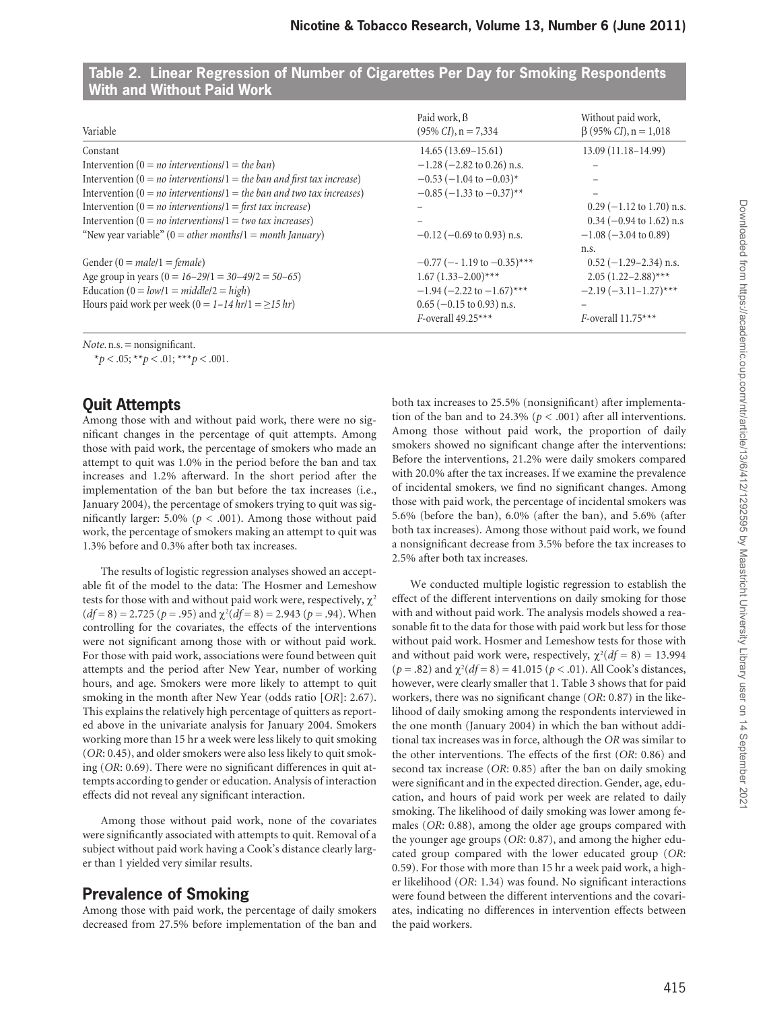| Variable                                                                     | Paid work, B<br>$(95\% \text{ CI})$ , n = 7,334 | Without paid work,<br>$\beta$ (95% <i>CI</i> ), n = 1,018 |
|------------------------------------------------------------------------------|-------------------------------------------------|-----------------------------------------------------------|
| Constant                                                                     | $14.65(13.69-15.61)$                            | $13.09(11.18-14.99)$                                      |
| Intervention (0 = <i>no</i> interventions/1 = <i>the ban</i> )               | $-1.28$ ( $-2.82$ to 0.26) n.s.                 |                                                           |
| Intervention ( $0 = no$ interventions/ $1 = the$ ban and first tax increase) | $-0.53$ (-1.04 to $-0.03$ ) <sup>*</sup>        |                                                           |
| Intervention $(0 = no$ interventions/1 = the ban and two tax increases)      | $-0.85$ (-1.33 to -0.37)**                      |                                                           |
| Intervention (0 = <i>no</i> interventions/1 = first tax increase)            |                                                 | $0.29$ (-1.12 to 1.70) n.s.                               |
| Intervention ( $0 = no$ interventions/ $1 = two$ tax increases)              |                                                 | $0.34$ (-0.94 to 1.62) n.s                                |
| "New year variable" ( $0 = other$ months/ $1 = month$ January)               | $-0.12$ ( $-0.69$ to 0.93) n.s.                 | $-1.08$ ( $-3.04$ to 0.89)                                |
|                                                                              |                                                 | n.s.                                                      |
| Gender (0 = $male/1$ = $female$ )                                            | $-0.77$ (--1.19 to $-0.35$ )***                 | $0.52$ (-1.29-2.34) n.s.                                  |
| Age group in years $(0 = 16-29/1 = 30-49/2 = 50-65)$                         | $1.67(1.33-2.00)$ ***                           | $2.05(1.22 - 2.88)$ ***                                   |
| Education ( $0 = low/1 = middle/2 = high$ )                                  | $-1.94$ (-2.22 to $-1.67$ )***                  | $-2.19(-3.11-1.27)$ ***                                   |
| Hours paid work per week (0 = 1-14 hr/1 = $\geq$ 15 hr)                      | $0.65$ (-0.15 to 0.93) n.s.                     |                                                           |
|                                                                              | $F$ -overall 49.25***                           | F-overall $11.75***$                                      |

#### **Table 2. Linear Regression of Number of Cigarettes Per Day for Smoking Respondents With and Without Paid Work**

*Note*. n.s. = nonsignificant.

 $**p* < .05; ***p* < .01; ****p* < .001.$ 

## **Quit Attempts**

Among those with and without paid work, there were no significant changes in the percentage of quit attempts. Among those with paid work, the percentage of smokers who made an attempt to quit was 1.0% in the period before the ban and tax increases and 1.2% afterward. In the short period after the implementation of the ban but before the tax increases (i.e., January 2004), the percentage of smokers trying to quit was significantly larger: 5.0% ( $p < .001$ ). Among those without paid work, the percentage of smokers making an attempt to quit was 1.3% before and 0.3% after both tax increases.

The results of logistic regression analyses showed an acceptable fit of the model to the data: The Hosmer and Lemeshow tests for those with and without paid work were, respectively,  $\chi^2$  $(df=8) = 2.725 (p=.95)$  and  $\chi^2(df=8) = 2.943 (p=.94)$ . When controlling for the covariates, the effects of the interventions were not significant among those with or without paid work. For those with paid work, associations were found between quit attempts and the period after New Year, number of working hours, and age. Smokers were more likely to attempt to quit smoking in the month after New Year (odds ratio [*OR*]: 2.67). This explains the relatively high percentage of quitters as reported above in the univariate analysis for January 2004. Smokers working more than 15 hr a week were less likely to quit smoking (*OR*: 0.45), and older smokers were also less likely to quit smoking (*OR*: 0.69). There were no significant differences in quit attempts according to gender or education. Analysis of interaction effects did not reveal any significant interaction.

Among those without paid work, none of the covariates were significantly associated with attempts to quit. Removal of a subject without paid work having a Cook's distance clearly larger than 1 yielded very similar results.

# **Prevalence of Smoking**

Among those with paid work, the percentage of daily smokers decreased from 27.5% before implementation of the ban and

both tax increases to 25.5% (nonsignificant) after implementation of the ban and to 24.3% ( $p < .001$ ) after all interventions. Among those without paid work, the proportion of daily smokers showed no significant change after the interventions: Before the interventions, 21.2% were daily smokers compared with 20.0% after the tax increases. If we examine the prevalence of incidental smokers, we find no significant changes. Among those with paid work, the percentage of incidental smokers was 5.6% (before the ban), 6.0% (after the ban), and 5.6% (after both tax increases). Among those without paid work, we found a nonsignificant decrease from 3.5% before the tax increases to 2.5% after both tax increases.

We conducted multiple logistic regression to establish the effect of the different interventions on daily smoking for those with and without paid work. The analysis models showed a reasonable fit to the data for those with paid work but less for those without paid work. Hosmer and Lemeshow tests for those with and without paid work were, respectively,  $\chi^2(df = 8) = 13.994$ ( $p = .82$ ) and  $\chi^2(df = 8) = 41.015$  ( $p < .01$ ). All Cook's distances, however, were clearly smaller that 1. Table 3 shows that for paid workers, there was no significant change (*OR*: 0.87) in the likelihood of daily smoking among the respondents interviewed in the one month (January 2004) in which the ban without additional tax increases was in force, although the *OR* was similar to the other interventions. The effects of the first (*OR*: 0.86) and second tax increase (*OR*: 0.85) after the ban on daily smoking were significant and in the expected direction. Gender, age, education, and hours of paid work per week are related to daily smoking. The likelihood of daily smoking was lower among females (*OR*: 0.88), among the older age groups compared with the younger age groups (*OR*: 0.87), and among the higher educated group compared with the lower educated group (*OR*: 0.59). For those with more than 15 hr a week paid work, a higher likelihood (*OR*: 1.34) was found. No significant interactions were found between the different interventions and the covariates, indicating no differences in intervention effects between the paid workers.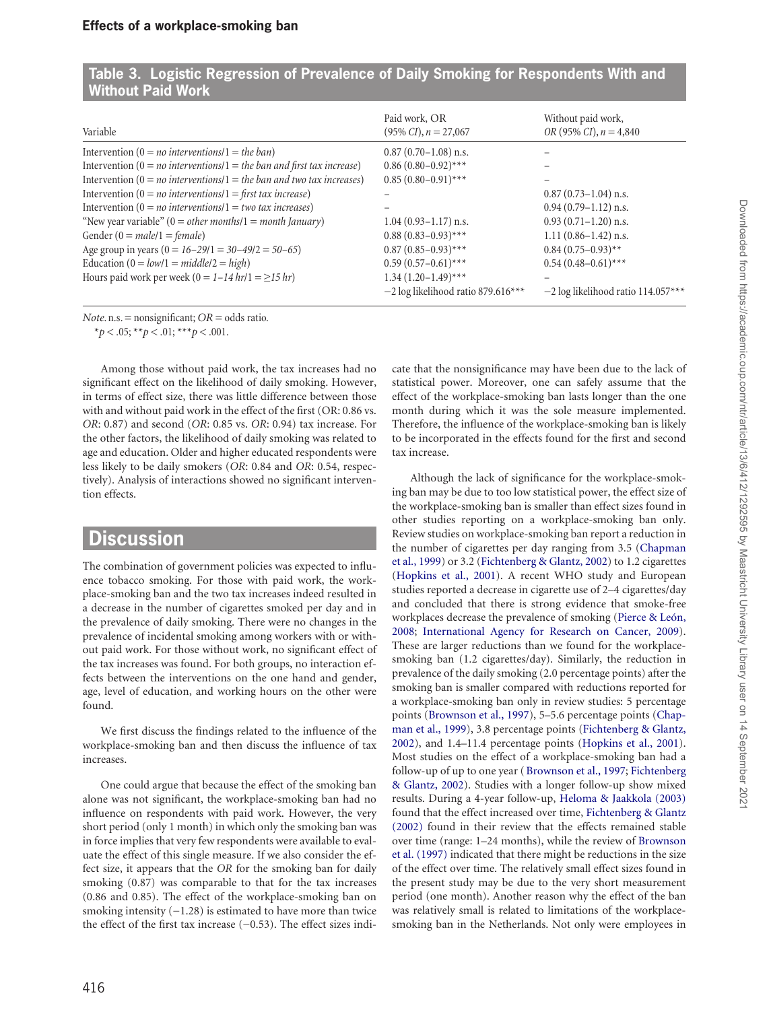|                                                                             | Paid work, OR                         | Without paid work,                    |  |
|-----------------------------------------------------------------------------|---------------------------------------|---------------------------------------|--|
| Variable                                                                    | $(95\% CI), n = 27,067$               | OR (95% CI), $n = 4,840$              |  |
| Intervention $(0 = no$ interventions/1 = the ban)                           | $0.87(0.70-1.08)$ n.s.                |                                       |  |
| Intervention ( $0 = no$ interventions $1 = the$ ban and first tax increase) | $0.86(0.80-0.92)$ ***                 |                                       |  |
| Intervention $(0 = no$ interventions/ $1 = the$ ban and two tax increases)  | $0.85(0.80-0.91)$ ***                 |                                       |  |
| Intervention ( $0 = no$ interventions/ $1 =$ first tax increase)            |                                       | $0.87(0.73-1.04)$ n.s.                |  |
| Intervention ( $0 = no$ interventions/ $1 = two$ tax increases)             |                                       | $0.94(0.79-1.12)$ n.s.                |  |
| "New year variable" ( $0 = other$ months/ $1 = month$ January)              | $1.04(0.93-1.17)$ n.s.                | $0.93(0.71-1.20)$ n.s.                |  |
| Gender (0 = $male/1 = female$ )                                             | $0.88(0.83-0.93)$ ***                 | $1.11(0.86-1.42)$ n.s.                |  |
| Age group in years $(0 = 16-29/1 = 30-49/2 = 50-65)$                        | $0.87(0.85-0.93)$ ***                 | $0.84(0.75-0.93)$ **                  |  |
| Education $(0 = low/1 = middle/2 = high)$                                   | $0.59(0.57-0.61)$ ***                 | $0.54(0.48-0.61)$ ***                 |  |
| Hours paid work per week (0 = $1-14$ hr/1 = $\geq$ 15 hr)                   | $1.34(1.20-1.49)$ ***                 |                                       |  |
|                                                                             | $-2 \log$ likelihood ratio 879.616*** | $-2 \log$ likelihood ratio 114.057*** |  |

| Table 3. Logistic Regression of Prevalence of Daily Smoking for Respondents With and |  |  |  |
|--------------------------------------------------------------------------------------|--|--|--|
| <b>Without Paid Work</b>                                                             |  |  |  |

*Note*. n.s. = nonsignificant; *OR* = odds ratio.

 $*_{p}$  < .05;  $*_{p}$  < .01;  $*_{p}$  < .001.

Among those without paid work, the tax increases had no significant effect on the likelihood of daily smoking. However, in terms of effect size, there was little difference between those with and without paid work in the effect of the first (OR: 0.86 vs. *OR*: 0.87) and second (*OR*: 0.85 vs. *OR*: 0.94) tax increase. For the other factors, the likelihood of daily smoking was related to age and education. Older and higher educated respondents were less likely to be daily smokers (*OR*: 0.84 and *OR*: 0.54, respectively). Analysis of interactions showed no significant intervention effects.

## **Discussion**

The combination of government policies was expected to influence tobacco smoking. For those with paid work, the workplace-smoking ban and the two tax increases indeed resulted in a decrease in the number of cigarettes smoked per day and in the prevalence of daily smoking. There were no changes in the prevalence of incidental smoking among workers with or without paid work. For those without work, no significant effect of the tax increases was found. For both groups, no interaction effects between the interventions on the one hand and gender, age, level of education, and working hours on the other were found.

We first discuss the findings related to the influence of the workplace-smoking ban and then discuss the influence of tax increases.

One could argue that because the effect of the smoking ban alone was not significant, the workplace-smoking ban had no influence on respondents with paid work. However, the very short period (only 1 month) in which only the smoking ban was in force implies that very few respondents were available to evaluate the effect of this single measure. If we also consider the effect size, it appears that the *OR* for the smoking ban for daily smoking (0.87) was comparable to that for the tax increases (0.86 and 0.85). The effect of the workplace-smoking ban on smoking intensity (−1.28) is estimated to have more than twice the effect of the first tax increase (−0.53). The effect sizes indicate that the nonsignificance may have been due to the lack of statistical power. Moreover, one can safely assume that the effect of the workplace-smoking ban lasts longer than the one month during which it was the sole measure implemented. Therefore, the influence of the workplace-smoking ban is likely to be incorporated in the effects found for the first and second tax increase.

Although the lack of significance for the workplace-smoking ban may be due to too low statistical power, the effect size of the workplace-smoking ban is smaller than effect sizes found in other studies reporting on a workplace-smoking ban only. Review studies on workplace-smoking ban report a reduction in the number of cigarettes per day ranging from 3.5 ([Chapman](#page-7-7) [et al., 1999\)](#page-7-7) or 3.2 ([Fichtenberg & Glantz, 2002\)](#page-7-8) to 1.2 cigarettes ([Hopkins et al., 2001](#page-7-10)). A recent WHO study and European studies reported a decrease in cigarette use of 2–4 cigarettes/day and concluded that there is strong evidence that smoke-free workplaces decrease the prevalence of smoking [\(Pierce & León,](#page-7-2) [2008](#page-7-2); [International Agency for Research on Cancer, 2009\)](#page-7-17). These are larger reductions than we found for the workplacesmoking ban (1.2 cigarettes/day). Similarly, the reduction in prevalence of the daily smoking (2.0 percentage points) after the smoking ban is smaller compared with reductions reported for a workplace-smoking ban only in review studies: 5 percentage points ([Brownson et al., 1997\)](#page-7-6), 5–5.6 percentage points ([Chap](#page-7-7)[man et al., 1999](#page-7-7)), 3.8 percentage points ([Fichtenberg & Glantz,](#page-7-8) [2002\)](#page-7-8), and 1.4–11.4 percentage points ([Hopkins et al., 2001\)](#page-7-10). Most studies on the effect of a workplace-smoking ban had a follow-up of up to one year ([Brownson et al., 1997](#page-7-6); [Fichtenberg](#page-7-8) [& Glantz, 2002](#page-7-8)). Studies with a longer follow-up show mixed results. During a 4-year follow-up, [Heloma & Jaakkola \(2003\)](#page-7-9) found that the effect increased over time, [Fichtenberg & Glantz](#page-7-8) [\(2002\)](#page-7-8) found in their review that the effects remained stable over time (range: 1–24 months), while the review of [Brownson](#page-7-6) [et al. \(1997\)](#page-7-6) indicated that there might be reductions in the size of the effect over time. The relatively small effect sizes found in the present study may be due to the very short measurement period (one month). Another reason why the effect of the ban was relatively small is related to limitations of the workplacesmoking ban in the Netherlands. Not only were employees in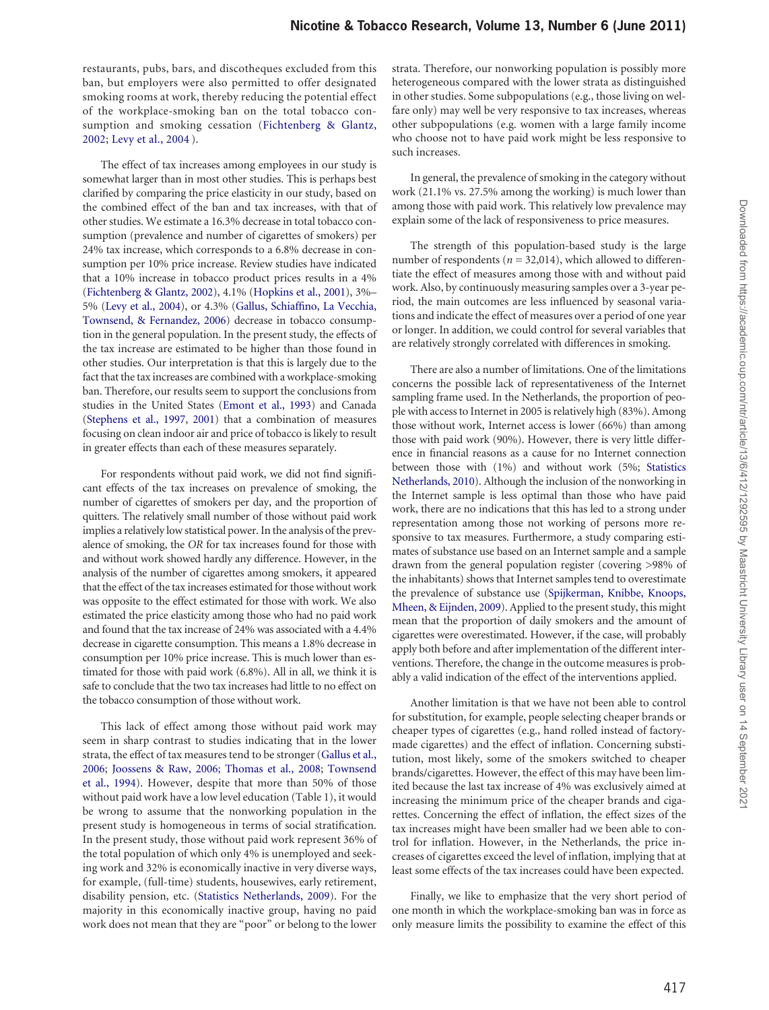restaurants, pubs, bars, and discotheques excluded from this ban, but employers were also permitted to offer designated smoking rooms at work, thereby reducing the potential effect of the workplace-smoking ban on the total tobacco consumption and smoking cessation ([Fichtenberg & Glantz,](#page-7-8)  [2002;](#page-7-8) [Levy et al., 2004](#page-7-1) ).

The effect of tax increases among employees in our study is somewhat larger than in most other studies. This is perhaps best clarified by comparing the price elasticity in our study, based on the combined effect of the ban and tax increases, with that of other studies. We estimate a 16.3% decrease in total tobacco consumption (prevalence and number of cigarettes of smokers) per 24% tax increase, which corresponds to a 6.8% decrease in consumption per 10% price increase. Review studies have indicated that a 10% increase in tobacco product prices results in a 4% [\(Fichtenberg & Glantz, 2002](#page-7-8)), 4.1% [\(Hopkins et al., 2001\)](#page-7-10), 3%– 5% ([Levy et al., 2004\)](#page-7-1), or 4.3% ([Gallus, Schiaffino, La Vecchia,](#page-7-18)  [Townsend, & Fernandez, 2006\)](#page-7-18) decrease in tobacco consumption in the general population. In the present study, the effects of the tax increase are estimated to be higher than those found in other studies. Our interpretation is that this is largely due to the fact that the tax increases are combined with a workplace-smoking ban. Therefore, our results seem to support the conclusions from studies in the United States ([Emont et al., 1993](#page-7-3)) and Canada [\(Stephens et al., 1997,](#page-7-4) [2001](#page-7-5)) that a combination of measures focusing on clean indoor air and price of tobacco is likely to result in greater effects than each of these measures separately.

For respondents without paid work, we did not find significant effects of the tax increases on prevalence of smoking, the number of cigarettes of smokers per day, and the proportion of quitters. The relatively small number of those without paid work implies a relatively low statistical power. In the analysis of the prevalence of smoking, the *OR* for tax increases found for those with and without work showed hardly any difference. However, in the analysis of the number of cigarettes among smokers, it appeared that the effect of the tax increases estimated for those without work was opposite to the effect estimated for those with work. We also estimated the price elasticity among those who had no paid work and found that the tax increase of 24% was associated with a 4.4% decrease in cigarette consumption. This means a 1.8% decrease in consumption per 10% price increase. This is much lower than estimated for those with paid work (6.8%). All in all, we think it is safe to conclude that the two tax increases had little to no effect on the tobacco consumption of those without work.

This lack of effect among those without paid work may seem in sharp contrast to studies indicating that in the lower strata, the effect of tax measures tend to be stronger ([Gallus et al.,](#page-7-18)  [2006](#page-7-18); [Joossens & Raw, 2006;](#page-7-0) [Thomas et al., 2008](#page-7-14); [Townsend](#page-7-15)  [et al., 1994](#page-7-15)). However, despite that more than 50% of those without paid work have a low level education (Table 1), it would be wrong to assume that the nonworking population in the present study is homogeneous in terms of social stratification. In the present study, those without paid work represent 36% of the total population of which only 4% is unemployed and seeking work and 32% is economically inactive in very diverse ways, for example, (full-time) students, housewives, early retirement, disability pension, etc. [\(Statistics Netherlands, 2009](#page-7-19)). For the majority in this economically inactive group, having no paid work does not mean that they are "poor" or belong to the lower

strata. Therefore, our nonworking population is possibly more heterogeneous compared with the lower strata as distinguished in other studies. Some subpopulations (e.g., those living on welfare only) may well be very responsive to tax increases, whereas other subpopulations (e.g. women with a large family income who choose not to have paid work might be less responsive to such increases.

In general, the prevalence of smoking in the category without work (21.1% vs. 27.5% among the working) is much lower than among those with paid work. This relatively low prevalence may explain some of the lack of responsiveness to price measures.

The strength of this population-based study is the large number of respondents ( $n = 32,014$ ), which allowed to differentiate the effect of measures among those with and without paid work. Also, by continuously measuring samples over a 3-year period, the main outcomes are less influenced by seasonal variations and indicate the effect of measures over a period of one year or longer. In addition, we could control for several variables that are relatively strongly correlated with differences in smoking.

There are also a number of limitations. One of the limitations concerns the possible lack of representativeness of the Internet sampling frame used. In the Netherlands, the proportion of people with access to Internet in 2005 is relatively high (83%). Among those without work, Internet access is lower (66%) than among those with paid work (90%). However, there is very little difference in financial reasons as a cause for no Internet connection between those with (1%) and without work (5%; [Statistics](#page-7-20) [Netherlands, 2010\)](#page-7-20). Although the inclusion of the nonworking in the Internet sample is less optimal than those who have paid work, there are no indications that this has led to a strong under representation among those not working of persons more responsive to tax measures. Furthermore, a study comparing estimates of substance use based on an Internet sample and a sample drawn from the general population register (covering >98% of the inhabitants) shows that Internet samples tend to overestimate the prevalence of substance use ([Spijkerman, Knibbe, Knoops,](#page-7-21) [Mheen, & Eijnden, 2009\)](#page-7-21). Applied to the present study, this might mean that the proportion of daily smokers and the amount of cigarettes were overestimated. However, if the case, will probably apply both before and after implementation of the different interventions. Therefore, the change in the outcome measures is probably a valid indication of the effect of the interventions applied.

Another limitation is that we have not been able to control for substitution, for example, people selecting cheaper brands or cheaper types of cigarettes (e.g., hand rolled instead of factorymade cigarettes) and the effect of inflation. Concerning substitution, most likely, some of the smokers switched to cheaper brands/cigarettes. However, the effect of this may have been limited because the last tax increase of 4% was exclusively aimed at increasing the minimum price of the cheaper brands and cigarettes. Concerning the effect of inflation, the effect sizes of the tax increases might have been smaller had we been able to control for inflation. However, in the Netherlands, the price increases of cigarettes exceed the level of inflation, implying that at least some effects of the tax increases could have been expected.

Finally, we like to emphasize that the very short period of one month in which the workplace-smoking ban was in force as only measure limits the possibility to examine the effect of this